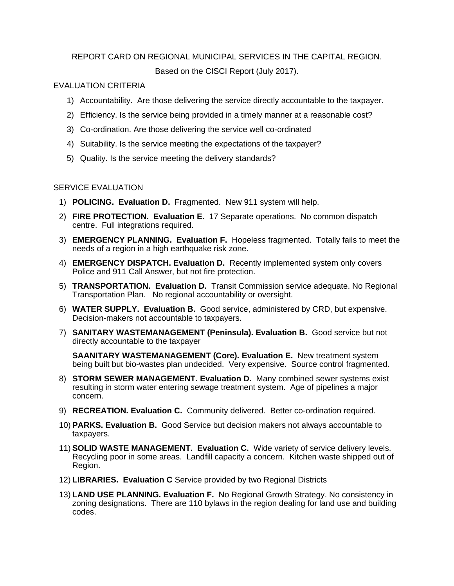## REPORT CARD ON REGIONAL MUNICIPAL SERVICES IN THE CAPITAL REGION.

Based on the CISCI Report (July 2017).

## EVALUATION CRITERIA

- 1) Accountability. Are those delivering the service directly accountable to the taxpayer.
- 2) Efficiency. Is the service being provided in a timely manner at a reasonable cost?
- 3) Co-ordination. Are those delivering the service well co-ordinated
- 4) Suitability. Is the service meeting the expectations of the taxpayer?
- 5) Quality. Is the service meeting the delivery standards?

## SERVICE EVALUATION

- 1) **POLICING. Evaluation D.** Fragmented. New 911 system will help.
- 2) **FIRE PROTECTION. Evaluation E.** 17 Separate operations. No common dispatch centre. Full integrations required.
- 3) **EMERGENCY PLANNING. Evaluation F.** Hopeless fragmented. Totally fails to meet the needs of a region in a high earthquake risk zone.
- 4) **EMERGENCY DISPATCH. Evaluation D.** Recently implemented system only covers Police and 911 Call Answer, but not fire protection.
- 5) **TRANSPORTATION. Evaluation D.** Transit Commission service adequate. No Regional Transportation Plan. No regional accountability or oversight.
- 6) **WATER SUPPLY. Evaluation B.** Good service, administered by CRD, but expensive. Decision-makers not accountable to taxpayers.
- 7) **SANITARY WASTEMANAGEMENT (Peninsula). Evaluation B.** Good service but not directly accountable to the taxpayer

**SAANITARY WASTEMANAGEMENT (Core). Evaluation E.** New treatment system being built but bio-wastes plan undecided. Very expensive. Source control fragmented.

- 8) **STORM SEWER MANAGEMENT. Evaluation D.** Many combined sewer systems exist resulting in storm water entering sewage treatment system. Age of pipelines a major concern.
- 9) **RECREATION. Evaluation C.** Community delivered. Better co-ordination required.
- 10) **PARKS. Evaluation B.** Good Service but decision makers not always accountable to taxpayers.
- 11) **SOLID WASTE MANAGEMENT. Evaluation C.** Wide variety of service delivery levels. Recycling poor in some areas. Landfill capacity a concern. Kitchen waste shipped out of Region.
- 12) **LIBRARIES. Evaluation C** Service provided by two Regional Districts
- 13) **LAND USE PLANNING. Evaluation F.** No Regional Growth Strategy. No consistency in zoning designations. There are 110 bylaws in the region dealing for land use and building codes.